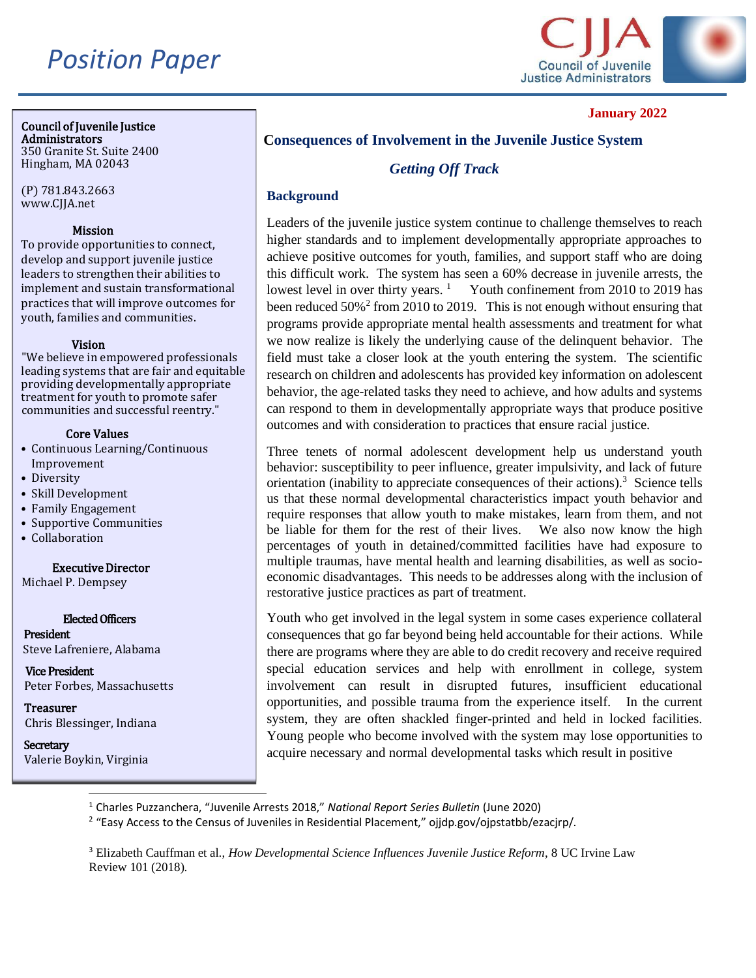# *Position Paper*



### **January 2022**

#### Council of Juvenile Justice Administrators

350 Granite St. Suite 2400 Hingham, MA 02043

(P) 781.843.2663 www.CJJA.net

#### [Missi](http://www.cjca.net/)on

To provide opportunities to connect, develop and support juvenile justice leaders to strengthen their abilities to implement and sustain transformational practices that will improve outcomes for youth, families and communities.

#### Vision

"We believe in empowered professionals leading systems that are fair and equitable providing developmentally appropriate treatment for youth to promote safer communities and successful reentry."

#### Core Values

- Continuous Learning/Continuous Improvement
- Diversity
- Skill Development
- Family Engagement
- Supportive Communities
- Collaboration

#### Executive Director

Michael P. Dempsey

#### Elected Officers

President Steve Lafreniere, Alabama

Vice President Peter Forbes, Massachusetts

**Treasurer** Chris Blessinger, Indiana

**Secretary** Valerie Boykin, Virginia

## **Consequences of Involvement in the Juvenile Justice System**

## *Getting Off Track*

## **Background**

Leaders of the juvenile justice system continue to challenge themselves to reach higher standards and to implement developmentally appropriate approaches to achieve positive outcomes for youth, families, and support staff who are doing this difficult work. The system has seen a 60% decrease in juvenile arrests, the lowest level in over thirty years.  $\frac{1}{1}$  Youth confinement from 2010 to 2019 has been reduced  $50\%$ <sup>2</sup> from 2010 to 2019. This is not enough without ensuring that programs provide appropriate mental health assessments and treatment for what we now realize is likely the underlying cause of the delinquent behavior. The field must take a closer look at the youth entering the system. The scientific research on children and adolescents has provided key information on adolescent behavior, the age-related tasks they need to achieve, and how adults and systems can respond to them in developmentally appropriate ways that produce positive outcomes and with consideration to practices that ensure racial justice.

Three tenets of normal adolescent development help us understand youth behavior: susceptibility to peer influence, greater impulsivity, and lack of future orientation (inability to appreciate consequences of their actions).<sup>3</sup> Science tells us that these normal developmental characteristics impact youth behavior and require responses that allow youth to make mistakes, learn from them, and not be liable for them for the rest of their lives. We also now know the high be liable for them for the rest of their lives. percentages of youth in detained/committed facilities have had exposure to multiple traumas, have mental health and learning disabilities, as well as socioeconomic disadvantages. This needs to be addresses along with the inclusion of restorative justice practices as part of treatment.

Youth who get involved in the legal system in some cases experience collateral consequences that go far beyond being held accountable for their actions. While there are programs where they are able to do credit recovery and receive required special education services and help with enrollment in college, system involvement can result in disrupted futures, insufficient educational opportunities, and possible trauma from the experience itself. In the current system, they are often shackled finger-printed and held in locked facilities. Young people who become involved with the system may lose opportunities to acquire necessary and normal developmental tasks which result in positive

<sup>1</sup> Charles Puzzanchera, "Juvenile Arrests 2018," *National Report Series Bulletin* (June 2020)

<sup>&</sup>lt;sup>2</sup> "Easy Access to the Census of Juveniles in Residential Placement," ojjdp.gov/ojpstatbb/ezacjrp/.

<sup>3</sup> Elizabeth Cauffman et al., *How Developmental Science Influences Juvenile Justice Reform*, 8 UC Irvine Law Review 101 (2018).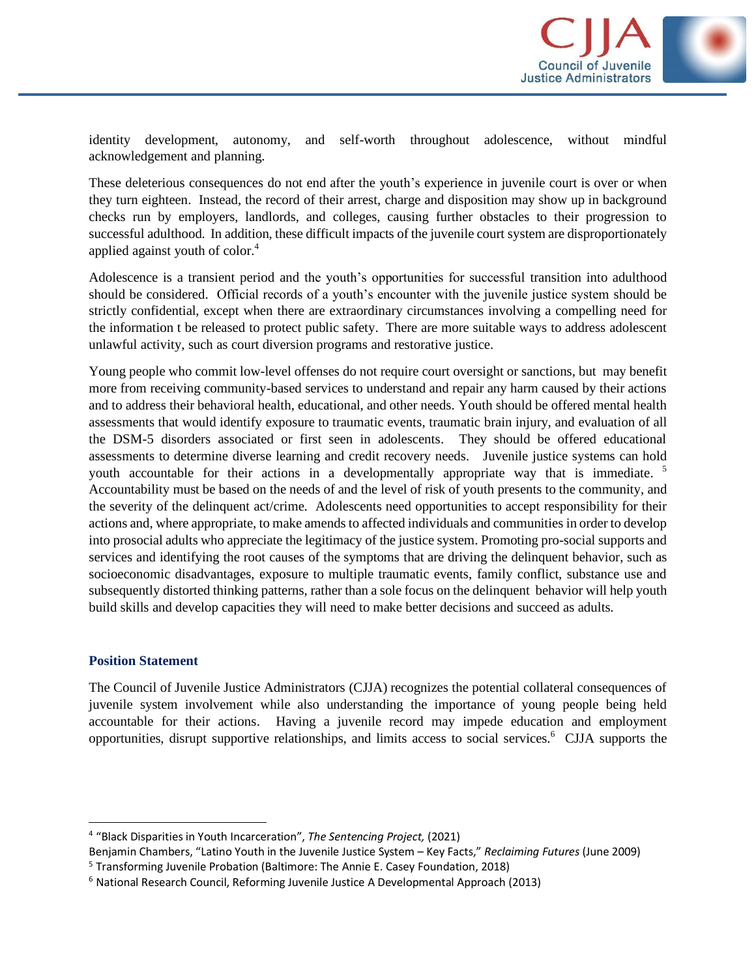

identity development, autonomy, and self-worth throughout adolescence, without mindful acknowledgement and planning.

These deleterious consequences do not end after the youth's experience in juvenile court is over or when they turn eighteen. Instead, the record of their arrest, charge and disposition may show up in background checks run by employers, landlords, and colleges, causing further obstacles to their progression to successful adulthood. In addition, these difficult impacts of the juvenile court system are disproportionately applied against youth of color.<sup>4</sup>

Adolescence is a transient period and the youth's opportunities for successful transition into adulthood should be considered. Official records of a youth's encounter with the juvenile justice system should be strictly confidential, except when there are extraordinary circumstances involving a compelling need for the information t be released to protect public safety. There are more suitable ways to address adolescent unlawful activity, such as court diversion programs and restorative justice.

Young people who commit low-level offenses do not require court oversight or sanctions, but may benefit more from receiving community-based services to understand and repair any harm caused by their actions and to address their behavioral health, educational, and other needs. Youth should be offered mental health assessments that would identify exposure to traumatic events, traumatic brain injury, and evaluation of all the DSM-5 disorders associated or first seen in adolescents. They should be offered educational assessments to determine diverse learning and credit recovery needs. Juvenile justice systems can hold youth accountable for their actions in a developmentally appropriate way that is immediate.<sup>5</sup> Accountability must be based on the needs of and the level of risk of youth presents to the community, and the severity of the delinquent act/crime. Adolescents need opportunities to accept responsibility for their actions and, where appropriate, to make amends to affected individuals and communities in order to develop into prosocial adults who appreciate the legitimacy of the justice system. Promoting pro-social supports and services and identifying the root causes of the symptoms that are driving the delinquent behavior, such as socioeconomic disadvantages, exposure to multiple traumatic events, family conflict, substance use and subsequently distorted thinking patterns, rather than a sole focus on the delinquent behavior will help youth build skills and develop capacities they will need to make better decisions and succeed as adults.

#### **Position Statement**

The Council of Juvenile Justice Administrators (CJJA) recognizes the potential collateral consequences of juvenile system involvement while also understanding the importance of young people being held accountable for their actions. Having a juvenile record may impede education and employment opportunities, disrupt supportive relationships, and limits access to social services.<sup>6</sup> CJJA supports the

<sup>4</sup> "Black Disparities in Youth Incarceration", *The Sentencing Project,* (2021)

Benjamin Chambers, "Latino Youth in the Juvenile Justice System – Key Facts," *Reclaiming Futures* (June 2009)

<sup>5</sup> Transforming Juvenile Probation (Baltimore: The Annie E. Casey Foundation, 2018)

<sup>6</sup> National Research Council, Reforming Juvenile Justice A Developmental Approach (2013)